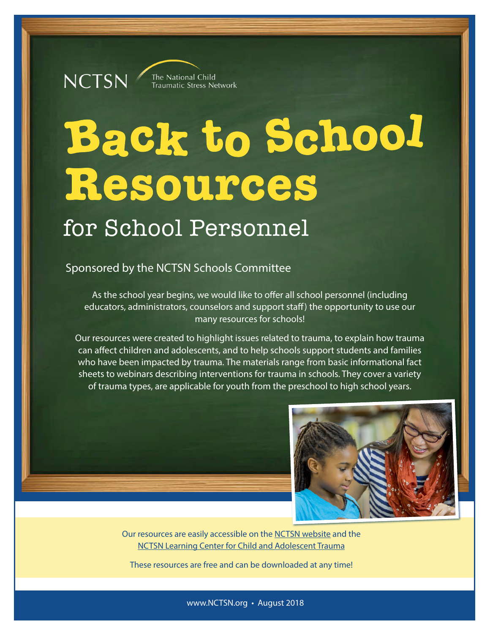## **NCTSN** The National Child<br>Traumatic Stress Network

# **Back to School** Resources for School Personnel

## Sponsored by the NCTSN Schools Committee

As the school year begins, we would like to offer all school personnel (including educators, administrators, counselors and support staff) the opportunity to use our many resources for schools!

Our resources were created to highlight issues related to trauma, to explain how trauma can affect children and adolescents, and to help schools support students and families who have been impacted by trauma. The materials range from basic informational fact sheets to webinars describing interventions for trauma in schools. They cover a variety of trauma types, are applicable for youth from the preschool to high school years.



Our resources are easily accessible on the [NCTSN website](http://www.nctsn.org) and the [NCTSN Learning Center for Child and Adolescent Trauma](http://learn.nctsn.org)

These resources are free and can be downloaded at any time!

www.NCTSN.org • August 2018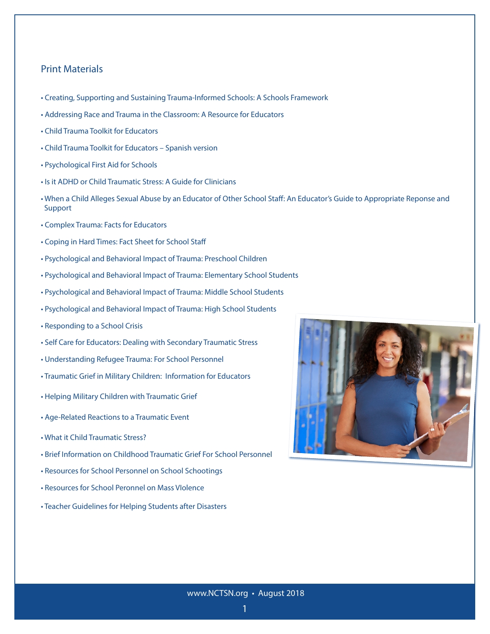#### Print Materials

- • [Creating, Supporting and Sustaining Trauma-Informed Schools: A Schools Framework](https://www.nctsn.org/resources/creating-supporting-and-sustaining-trauma-informed-schools-system-framework)
- • [Addressing Race and Trauma in the Classroom: A Resource for Educators](https://www.nctsn.org/resources/addressing-race-and-trauma-classroom-resource-educators)
- [Child Trauma Toolkit for Educators](http://nctsn.org/content/child-trauma-toolkit-educators-2008)
- [Child Trauma Toolkit for Educators Spanish version](http://nctsn.org/sites/default/files/SP_Child_Trauma_Toolkit_111009_FINAL.pdf)
- • [Psychological First Aid for Schools](https://www.nctsn.org/resources/psychological-first-aid-schools-pfa-s-field-operations-guide)
- • [Is it ADHD or Child Traumatic Stress: A Guide for Clinicians](https://www.nctsn.org/resources/it-adhd-or-child-traumatic-stress-guide-clinicians)
- • [When a Child Alleges Sexual Abuse by an Educator of Other School Staff: An Educator's Guide to Appropriate Reponse and](https://www.nctsn.org/resources/when-child-alleges-sexual-abuse-educator-or-other-school-staff-educators-guide-appropriate)   [Support](https://www.nctsn.org/resources/when-child-alleges-sexual-abuse-educator-or-other-school-staff-educators-guide-appropriate)
- • [Complex Trauma: Facts for Educators](https://www.nctsn.org/resources/complex-trauma-facts-educators)
- • [Coping in Hard Times: Fact Sheet for School Staff](http://www.nctsnet.org/sites/default/files/assets/pdfs/copingschoolpersonnel_final.pdf)
- [Psychological and Behavioral Impact of Trauma: Preschool Children](http://www.nctsnet.org/sites/default/files/assets/pdfs/preschool_children.pdf)
- • [Psychological and Behavioral Impact of Trauma: Elementary School Students](http://www.nctsnet.org/sites/default/files/assets/pdfs/ctte_elementary.pdf)
- • [Psychological and Behavioral Impact of Trauma: Middle School Students](http://www.nctsnet.org/sites/default/files/assets/pdfs/ctte_middleschool.pdf)
- [Psychological and Behavioral Impact of Trauma: High School Students](http://www.nctsnet.org/sites/default/files/assets/pdfs/ctte_highschool.pdf)
- [Responding to a School Crisis](http://nctsn.org/resources/audiences/school-personnel/crisis-situation)
- [Self Care for Educators: Dealing with Secondary Traumatic Stress](http://www.nctsnet.org/sites/default/files/assets/pdfs/CTTE_SelfCare.pdf)
- • [Understanding Refugee Trauma: For School Personnel](https://www.nctsn.org/resources/understanding-refugee-trauma-school-personnel)
- Traumatic Grief in Military Children: Information for Educators
- • [Helping Military Children with Traumatic Grief](https://www.nctsn.org/resources/helping-military-children-traumatic-grief-tips-educators)
- • [Age-Related Reactions to a Traumatic Event](https://www.nctsn.org/resources/age-related-reactions-traumatic-event)
- • [What it Child Traumatic Stress?](https://www.nctsn.org/resources/what-child-traumatic-stress)
- • [Brief Information on Childhood Traumatic Grief For School Personnel](https://www.nctsn.org/resources/brief-information-childhood-traumatic-grief-school-personnel)
- • [Resources for School Personnel on School Schootings](https://www.nctsn.org/what-is-child-trauma/trauma-types/terrorism-and-violence/school-shooting-resources)
- • [Resources for School Peronnel on Mass VIolence](https://www.nctsn.org/what-is-child-trauma/trauma-types/terrorism-and-violence/mass-violence)
- • [Teacher Guidelines for Helping Students after Disasters](https://www.nctsn.org/what-is-child-trauma/trauma-types/disasters)